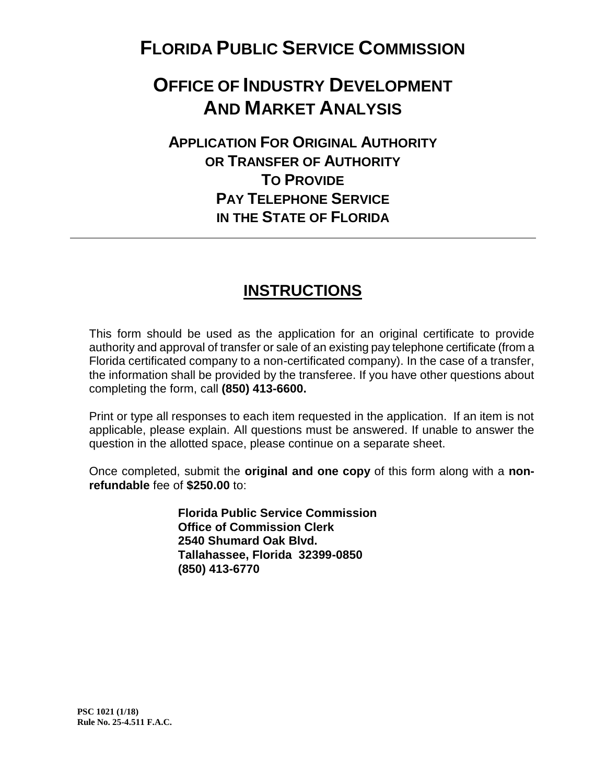## **FLORIDA PUBLIC SERVICE COMMISSION**

# **OFFICE OF INDUSTRY DEVELOPMENT AND MARKET ANALYSIS**

**APPLICATION FOR ORIGINAL AUTHORITY OR TRANSFER OF AUTHORITY TO PROVIDE PAY TELEPHONE SERVICE IN THE STATE OF FLORIDA**

#### **INSTRUCTIONS**

This form should be used as the application for an original certificate to provide authority and approval of transfer or sale of an existing pay telephone certificate (from a Florida certificated company to a non-certificated company). In the case of a transfer, the information shall be provided by the transferee. If you have other questions about completing the form, call **(850) 413-6600.**

Print or type all responses to each item requested in the application. If an item is not applicable, please explain. All questions must be answered. If unable to answer the question in the allotted space, please continue on a separate sheet.

Once completed, submit the **original and one copy** of this form along with a **nonrefundable** fee of **\$250.00** to:

> **Florida Public Service Commission Office of Commission Clerk 2540 Shumard Oak Blvd. Tallahassee, Florida 32399-0850 (850) 413-6770**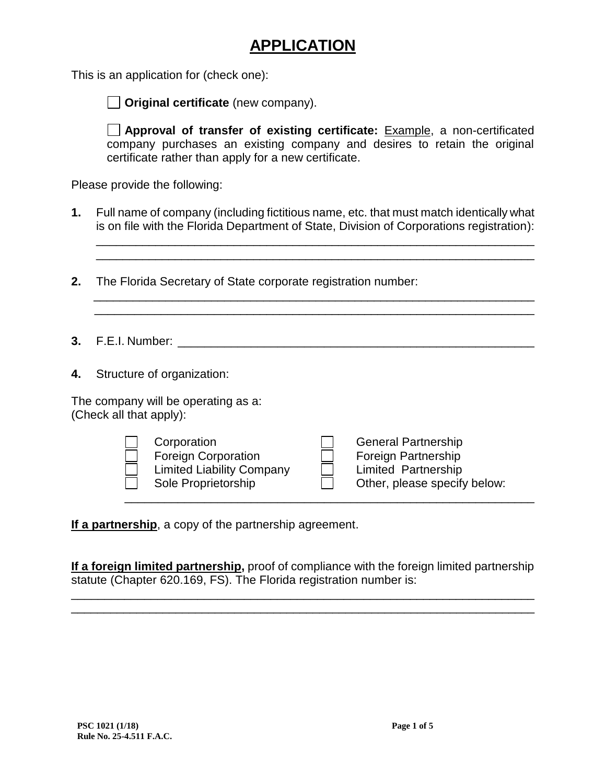#### **APPLICATION**

This is an application for (check one):

**Original certificate** (new company).

**Approval of transfer of existing certificate:** Example, a non-certificated company purchases an existing company and desires to retain the original certificate rather than apply for a new certificate.

Please provide the following:

**1.** Full name of company (including fictitious name, etc. that must match identically what is on file with the Florida Department of State, Division of Corporations registration):

 $\overline{\phantom{a}}$  ,  $\overline{\phantom{a}}$  ,  $\overline{\phantom{a}}$  ,  $\overline{\phantom{a}}$  ,  $\overline{\phantom{a}}$  ,  $\overline{\phantom{a}}$  ,  $\overline{\phantom{a}}$  ,  $\overline{\phantom{a}}$  ,  $\overline{\phantom{a}}$  ,  $\overline{\phantom{a}}$  ,  $\overline{\phantom{a}}$  ,  $\overline{\phantom{a}}$  ,  $\overline{\phantom{a}}$  ,  $\overline{\phantom{a}}$  ,  $\overline{\phantom{a}}$  ,  $\overline{\phantom{a}}$  $\overline{\phantom{a}}$  , and the contribution of the contribution of the contribution of the contribution of the contribution of the contribution of the contribution of the contribution of the contribution of the contribution of the

\_\_\_\_\_\_\_\_\_\_\_\_\_\_\_\_\_\_\_\_\_\_\_\_\_\_\_\_\_\_\_\_\_\_\_\_\_\_\_\_\_\_\_\_\_\_\_\_\_\_\_\_\_\_\_\_\_\_\_\_\_\_\_\_\_\_\_ \_\_\_\_\_\_\_\_\_\_\_\_\_\_\_\_\_\_\_\_\_\_\_\_\_\_\_\_\_\_\_\_\_\_\_\_\_\_\_\_\_\_\_\_\_\_\_\_\_\_\_\_\_\_\_\_\_\_\_\_\_\_\_\_\_\_\_

- **2.** The Florida Secretary of State corporate registration number:
- **3.** F.E.I. Number:  $\blacksquare$
- **4.** Structure of organization:

| The company will be operating as a: |
|-------------------------------------|
| (Check all that apply):             |

| Corporation<br><b>Foreign Corporation</b><br><b>Limited Liability Company</b><br>Sole Proprietorship | <b>General Partnership</b><br><b>Foreign Partnership</b><br><b>Limited Partnership</b><br>Other, please specify below: |  |
|------------------------------------------------------------------------------------------------------|------------------------------------------------------------------------------------------------------------------------|--|
|------------------------------------------------------------------------------------------------------|------------------------------------------------------------------------------------------------------------------------|--|

**If a partnership**, a copy of the partnership agreement.

**If a foreign limited partnership,** proof of compliance with the foreign limited partnership statute (Chapter 620.169, FS). The Florida registration number is:

\_\_\_\_\_\_\_\_\_\_\_\_\_\_\_\_\_\_\_\_\_\_\_\_\_\_\_\_\_\_\_\_\_\_\_\_\_\_\_\_\_\_\_\_\_\_\_\_\_\_\_\_\_\_\_\_\_\_\_\_\_\_\_\_\_\_\_\_\_\_ \_\_\_\_\_\_\_\_\_\_\_\_\_\_\_\_\_\_\_\_\_\_\_\_\_\_\_\_\_\_\_\_\_\_\_\_\_\_\_\_\_\_\_\_\_\_\_\_\_\_\_\_\_\_\_\_\_\_\_\_\_\_\_\_\_\_\_\_\_\_\_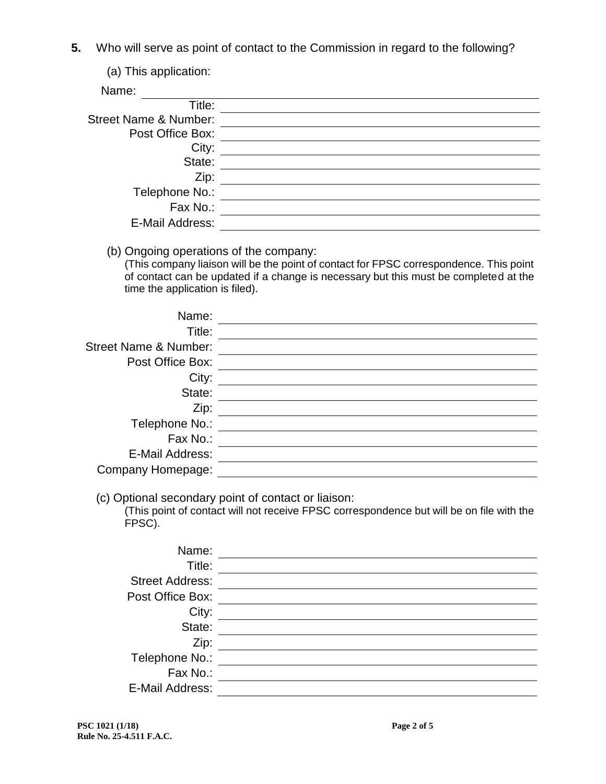**5.** Who will serve as point of contact to the Commission in regard to the following?

| (a) This application:            |  |
|----------------------------------|--|
| Name:                            |  |
| Title:                           |  |
| <b>Street Name &amp; Number:</b> |  |
| Post Office Box:                 |  |
| City:                            |  |
| State:                           |  |
| Zip:                             |  |
| Telephone No.:                   |  |
| Fax No.:                         |  |
| E-Mail Address:                  |  |
|                                  |  |

(b) Ongoing operations of the company:

(This company liaison will be the point of contact for FPSC correspondence. This point of contact can be updated if a change is necessary but this must be completed at the time the application is filed).

| Name:                            |  |
|----------------------------------|--|
| Title:                           |  |
| <b>Street Name &amp; Number:</b> |  |
| Post Office Box:                 |  |
| City:                            |  |
| State:                           |  |
| Zip:                             |  |
| Telephone No.:                   |  |
| Fax No.:                         |  |
| E-Mail Address:                  |  |
| Company Homepage:                |  |

(c) Optional secondary point of contact or liaison:

(This point of contact will not receive FPSC correspondence but will be on file with the FPSC).

| Name:                  |  |
|------------------------|--|
| Title:                 |  |
| <b>Street Address:</b> |  |
| Post Office Box:       |  |
| City:                  |  |
| State:                 |  |
| Zip:                   |  |
| Telephone No.:         |  |
| Fax No.:               |  |
| E-Mail Address:        |  |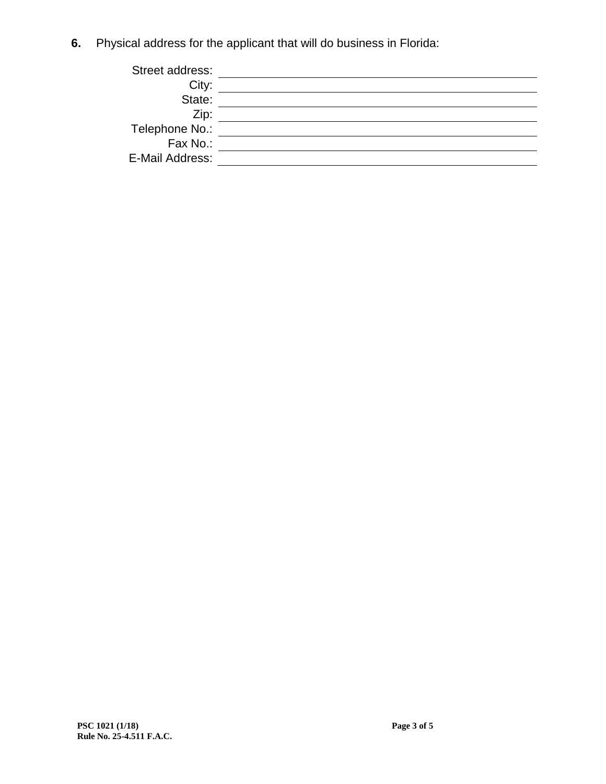**6.** Physical address for the applicant that will do business in Florida:

| Street address: |  |
|-----------------|--|
| City:           |  |
| State:          |  |
| Zip:            |  |
| Telephone No.:  |  |
| Fax No.:        |  |
| E-Mail Address: |  |
|                 |  |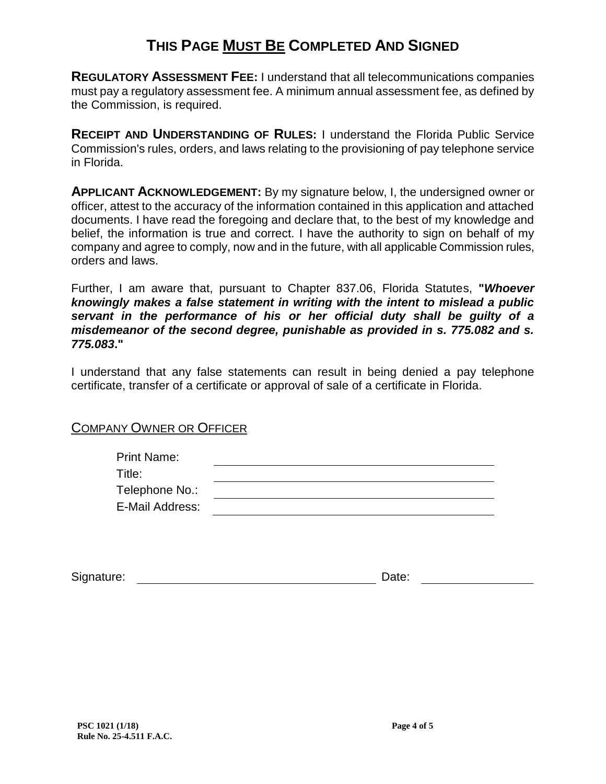## **THIS PAGE MUST BE COMPLETED AND SIGNED**

**REGULATORY ASSESSMENT FEE:** I understand that all telecommunications companies must pay a regulatory assessment fee. A minimum annual assessment fee, as defined by the Commission, is required.

**RECEIPT AND UNDERSTANDING OF RULES:** I understand the Florida Public Service Commission's rules, orders, and laws relating to the provisioning of pay telephone service in Florida.

**APPLICANT ACKNOWLEDGEMENT:** By my signature below, I, the undersigned owner or officer, attest to the accuracy of the information contained in this application and attached documents. I have read the foregoing and declare that, to the best of my knowledge and belief, the information is true and correct. I have the authority to sign on behalf of my company and agree to comply, now and in the future, with all applicable Commission rules, orders and laws.

Further, I am aware that, pursuant to Chapter 837.06, Florida Statutes, **"***Whoever knowingly makes a false statement in writing with the intent to mislead a public servant in the performance of his or her official duty shall be guilty of a misdemeanor of the second degree, punishable as provided in s. 775.082 and s. 775.083***."**

I understand that any false statements can result in being denied a pay telephone certificate, transfer of a certificate or approval of sale of a certificate in Florida.

#### COMPANY OWNER OR OFFICER

| <b>Print Name:</b> |  |
|--------------------|--|
| Title:             |  |
| Telephone No.:     |  |
| E-Mail Address:    |  |
|                    |  |

| Signature: | )ate:<br>___ |  |
|------------|--------------|--|
|            |              |  |